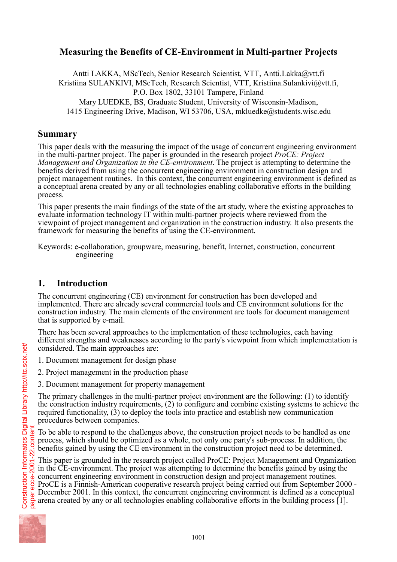# **Measuring the Benefits of CE-Environment in Multi-partner Projects**

Antti LAKKA, MScTech, Senior Research Scientist, VTT, Antti.Lakka@vtt.fi Kristiina SULANKIVI, MScTech, Research Scientist, VTT, Kristiina.Sulankivi@vtt.fi, P.O. Box 1802, 33101 Tampere, Finland Mary LUEDKE, BS, Graduate Student, University of Wisconsin-Madison, 1415 Engineering Drive, Madison, WI 53706, USA, mkluedke@students.wisc.edu

### **Summary**

This paper deals with the measuring the impact of the usage of concurrent engineering environment in the multi-partner project. The paper is grounded in the research project *ProCE: Project Management and Organization in the CE-environment*. The project is attempting to determine the benefits derived from using the concurrent engineering environment in construction design and project management routines. In this context, the concurrent engineering environment is defined as a conceptual arena created by any or all technologies enabling collaborative efforts in the building process.

This paper presents the main findings of the state of the art study, where the existing approaches to evaluate information technology IT within multi-partner projects where reviewed from the viewpoint of project management and organization in the construction industry. It also presents the framework for measuring the benefits of using the CE-environment.

Keywords: e-collaboration, groupware, measuring, benefit, Internet, construction, concurrent engineering

## **1. Introduction**

The concurrent engineering (CE) environment for construction has been developed and implemented. There are already several commercial tools and CE environment solutions for the construction industry. The main elements of the environment are tools for document management that is supported by e-mail.

There has been several approaches to the implementation of these technologies, each having different strengths and weaknesses according to the party's viewpoint from which implementation is considered. The main approaches are:

- 1. Document management for design phase
- 2. Project management in the production phase
- 3. Document management for property management

The primary challenges in the multi-partner project environment are the following: (1) to identify the construction industry requirements, (2) to configure and combine existing systems to achieve the required functionality, (3) to deploy the tools into practice and establish new communication procedures between companies.

To be able to respond to the challenges above, the construction project needs to be handled as one process, which should be optimized as a whole, not only one party's sub-process. In addition, the benefits gained by using the CE environment in the construction project need to be determined.

This paper is grounded in the research project called ProCE: Project Management and Organization in the CE-environment. The project was attempting to determine the benefits gained by using the concurrent engineering environment in construction design and project management routines. ProCE is a Finnish-American cooperative research project being carried out from September 2000 - December 2001. In this context, the concurrent engineering environment is defined as a conceptual arena created by any or all technologies enabling collaborative efforts in the building process [1].

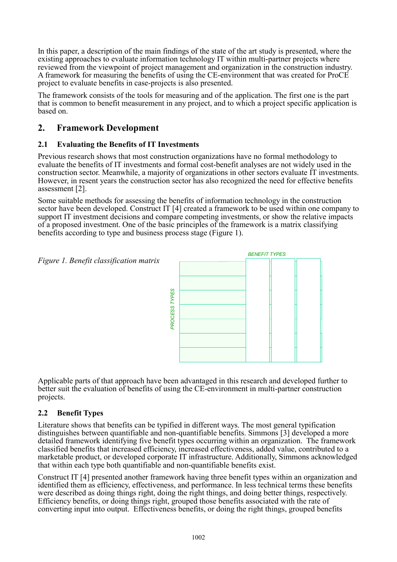In this paper, a description of the main findings of the state of the art study is presented, where the existing approaches to evaluate information technology IT within multi-partner projects where reviewed from the viewpoint of project management and organization in the construction industry. A framework for measuring the benefits of using the CE-environment that was created for ProCE project to evaluate benefits in case-projects is also presented.

The framework consists of the tools for measuring and of the application. The first one is the part that is common to benefit measurement in any project, and to which a project specific application is based on.

## **2. Framework Development**

#### **2.1 Evaluating the Benefits of IT Investments**

Previous research shows that most construction organizations have no formal methodology to evaluate the benefits of IT investments and formal cost-benefit analyses are not widely used in the construction sector. Meanwhile, a majority of organizations in other sectors evaluate IT investments. However, in resent years the construction sector has also recognized the need for effective benefits assessment [2].

Some suitable methods for assessing the benefits of information technology in the construction sector have been developed. Construct IT [4] created a framework to be used within one company to support IT investment decisions and compare competing investments, or show the relative impacts of a proposed investment. One of the basic principles of the framework is a matrix classifying benefits according to type and business process stage (Figure 1).



Applicable parts of that approach have been advantaged in this research and developed further to better suit the evaluation of benefits of using the CE-environment in multi-partner construction projects.

### **2.2 Benefit Types**

Literature shows that benefits can be typified in different ways. The most general typification distinguishes between quantifiable and non-quantifiable benefits. Simmons [3] developed a more detailed framework identifying five benefit types occurring within an organization. The framework classified benefits that increased efficiency, increased effectiveness, added value, contributed to a marketable product, or developed corporate IT infrastructure. Additionally, Simmons acknowledged that within each type both quantifiable and non-quantifiable benefits exist.

Construct IT [4] presented another framework having three benefit types within an organization and identified them as efficiency, effectiveness, and performance. In less technical terms these benefits were described as doing things right, doing the right things, and doing better things, respectively. Efficiency benefits, or doing things right, grouped those benefits associated with the rate of converting input into output. Effectiveness benefits, or doing the right things, grouped benefits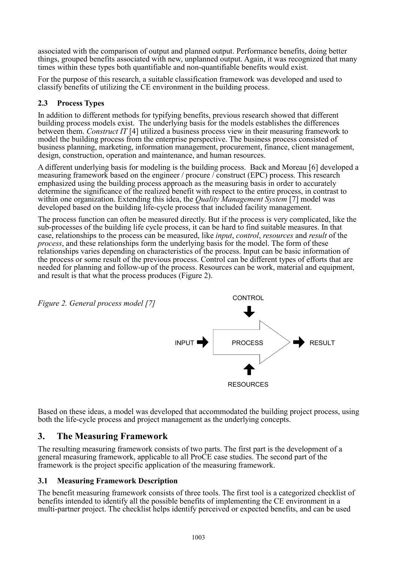associated with the comparison of output and planned output. Performance benefits, doing better things, grouped benefits associated with new, unplanned output. Again, it was recognized that many times within these types both quantifiable and non-quantifiable benefits would exist.

For the purpose of this research, a suitable classification framework was developed and used to classify benefits of utilizing the CE environment in the building process.

### **2.3 Process Types**

In addition to different methods for typifying benefits, previous research showed that different building process models exist. The underlying basis for the models establishes the differences between them. *Construct IT* [4] utilized a business process view in their measuring framework to model the building process from the enterprise perspective. The business process consisted of business planning, marketing, information management, procurement, finance, client management, design, construction, operation and maintenance, and human resources.

A different underlying basis for modeling is the building process. Back and Moreau [6] developed a measuring framework based on the engineer / procure / construct (EPC) process. This research emphasized using the building process approach as the measuring basis in order to accurately determine the significance of the realized benefit with respect to the entire process, in contrast to within one organization. Extending this idea, the *Quality Management System* [7] model was developed based on the building life-cycle process that included facility management.

The process function can often be measured directly. But if the process is very complicated, like the sub-processes of the building life cycle process, it can be hard to find suitable measures. In that case, relationships to the process can be measured, like *input*, *control*, *resources* and *result* of the *process*, and these relationships form the underlying basis for the model. The form of these relationships varies depending on characteristics of the process. Input can be basic information of the process or some result of the previous process. Control can be different types of efforts that are needed for planning and follow-up of the process. Resources can be work, material and equipment, and result is that what the process produces (Figure 2).



Based on these ideas, a model was developed that accommodated the building project process, using both the life-cycle process and project management as the underlying concepts.

## **3. The Measuring Framework**

The resulting measuring framework consists of two parts. The first part is the development of a general measuring framework, applicable to all ProCE case studies. The second part of the framework is the project specific application of the measuring framework.

### **3.1 Measuring Framework Description**

The benefit measuring framework consists of three tools. The first tool is a categorized checklist of benefits intended to identify all the possible benefits of implementing the CE environment in a multi-partner project. The checklist helps identify perceived or expected benefits, and can be used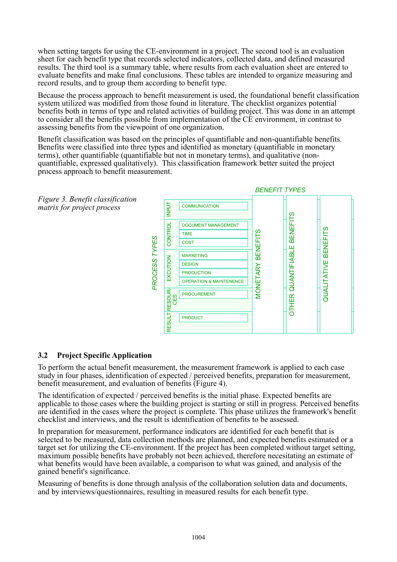when setting targets for using the CE-environment in a project. The second tool is an evaluation sheet for each benefit type that records selected indicators, collected data, and defined measured results. The third tool is a summary table, where results from each evaluation sheet are entered to evaluate benefits and make final conclusions. These tables are intended to organize measuring and record results, and to group them according to benefit type.

Because the process approach to benefit measurement is used, the foundational benefit classification system utilized was modified from those found in literature. The checklist organizes potential benefits both in terms of type and related activities of building project. This was done in an attempt to consider all the benefits possible from implementation of the CE environment, in contrast to assessing benefits from the viewpoint of one organization.

Benefit classification was based on the principles of quantifiable and non-quantifiable benefits. Benefits were classified into three types and identified as monetary (quantifiable in monetary terms), other quantifiable (quantifiable but not in monetary terms), and qualitative (nonquantifiable, expressed qualitatively). This classification framework better suited the project process approach to benefit measurement.



### **3.2 Project Specific Application**

To perform the actual benefit measurement, the measurement framework is applied to each case study in four phases, identification of expected / perceived benefits, preparation for measurement, benefit measurement, and evaluation of benefits (Figure 4).

The identification of expected / perceived benefits is the initial phase. Expected benefits are applicable to those cases where the building project is starting or still in progress. Perceived benefits are identified in the cases where the project is complete. This phase utilizes the framework's benefit checklist and interviews, and the result is identification of benefits to be assessed.

In preparation for measurement, performance indicators are identified for each benefit that is selected to be measured, data collection methods are planned, and expected benefits estimated or a target set for utilizing the CE-environment. If the project has been completed without target setting, maximum possible benefits have probably not been achieved, therefore necesitating an estimate of what benefits would have been available, a comparison to what was gained, and analysis of the gained benefit's significance.

Measuring of benefits is done through analysis of the collaboration solution data and documents,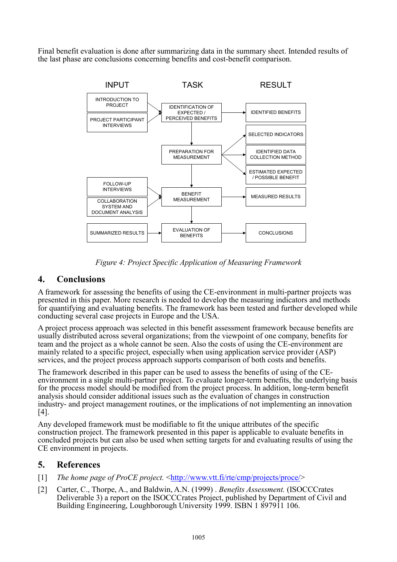Final benefit evaluation is done after summarizing data in the summary sheet. Intended results of the last phase are conclusions concerning benefits and cost-benefit comparison.



*Figure 4: Project Specific Application of Measuring Framework*

## **4. Conclusions**

A framework for assessing the benefits of using the CE-environment in multi-partner projects was presented in this paper. More research is needed to develop the measuring indicators and methods for quantifying and evaluating benefits. The framework has been tested and further developed while conducting several case projects in Europe and the USA.

A project process approach was selected in this benefit assessment framework because benefits are usually distributed across several organizations; from the viewpoint of one company, benefits for team and the project as a whole cannot be seen. Also the costs of using the CE-environment are mainly related to a specific project, especially when using application service provider (ASP) services, and the project process approach supports comparison of both costs and benefits.

The framework described in this paper can be used to assess the benefits of using of the CEenvironment in a single multi-partner project. To evaluate longer-term benefits, the underlying basis for the process model should be modified from the project process. In addition, long-term benefit analysis should consider additional issues such as the evaluation of changes in construction industry- and project management routines, or the implications of not implementing an innovation [4].

Any developed framework must be modifiable to fit the unique attributes of the specific construction project. The framework presented in this paper is applicable to evaluate benefits in concluded projects but can also be used when setting targets for and evaluating results of using the CE environment in projects.

# **5. References**

- [1] *The home page of ProCE project.* <http://www.vtt.fi/rte/cmp/projects/proce/>
- [2] Carter, C., Thorpe, A., and Baldwin, A.N. (1999) . *Benefits Assessment.* (ISOCCCrates Deliverable 3) a report on the ISOCCCrates Project, published by Department of Civil and Building Engineering, Loughborough University 1999. ISBN 1 897911 106.